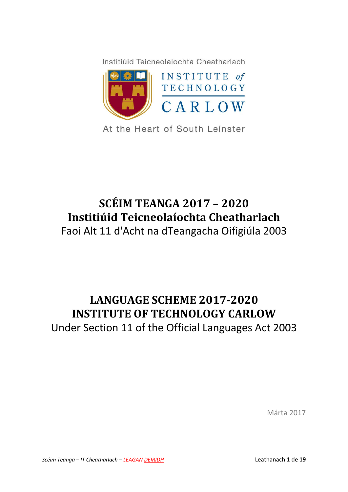Institiúid Teicneolaíochta Cheatharlach



At the Heart of South Leinster

# **SCÉIM TEANGA 2017 – 2020 Institiúid Teicneolaíochta Cheatharlach**

Faoi Alt 11 d'Acht na dTeangacha Oifigiúla 2003

# **LANGUAGE SCHEME 2017-2020 INSTITUTE OF TECHNOLOGY CARLOW**

Under Section 11 of the Official Languages Act 2003

Márta 2017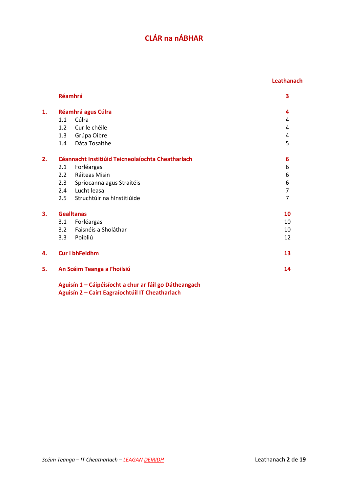# **CLÁR na nÁBHAR**

#### **Leathanach**

|    |                    | Réamhrá                                                | 3  |
|----|--------------------|--------------------------------------------------------|----|
| 1. | Réamhrá agus Cúlra |                                                        | 4  |
|    | 1.1                | Cúlra                                                  | 4  |
|    | 1.2                | Cur le chéile                                          | 4  |
|    |                    | 1.3 Grúpa Oibre                                        | 4  |
|    | 1.4                | Dáta Tosaithe                                          | 5  |
| 2. |                    | Céannacht Institiúid Teicneolaíochta Cheatharlach      | 6  |
|    | 2.1                | Forléargas                                             | 6  |
|    | 2.2                | Ráiteas Misin                                          | 6  |
|    | 2.3                | Spriocanna agus Straitéis                              | 6  |
|    |                    | 2.4 Lucht leasa                                        | 7  |
|    |                    | 2.5 Struchtúir na hInstitiúide                         | 7  |
| 3. | <b>Gealltanas</b>  |                                                        | 10 |
|    | 3.1                | Forléargas                                             | 10 |
|    | 3.2                | Faisnéis a Sholáthar                                   | 10 |
|    | 3.3 <sub>1</sub>   | Poibliú                                                | 12 |
| 4. |                    | <b>Cur i bhFeidhm</b>                                  | 13 |
| 5. |                    | An Scéim Teanga a Fhoilsiú                             | 14 |
|    |                    | Aguisín 1 - Cáipéisíocht a chur ar fáil go Dátheangach |    |

**Aguisín 2 – Cairt Eagraíochtúil IT Cheatharlach**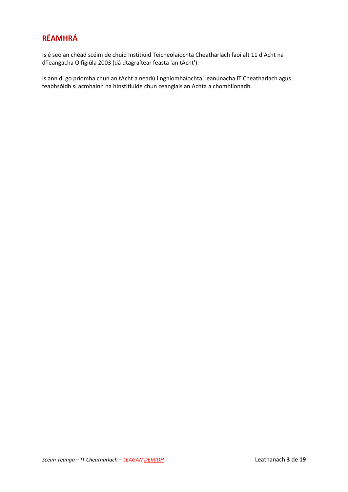# **RÉAMHRÁ**

Is é seo an chéad scéim de chuid Institiúid Teicneolaíochta Cheatharlach faoi alt 11 d'Acht na dTeangacha Oifigiúla 2003 (dá dtagraítear feasta 'an tAcht').

Is ann di go príomha chun an tAcht a neadú i ngníomhaíochtaí leanúnacha IT Cheatharlach agus feabhsóidh sí acmhainn na hInstitiúide chun ceanglais an Achta a chomhlíonadh.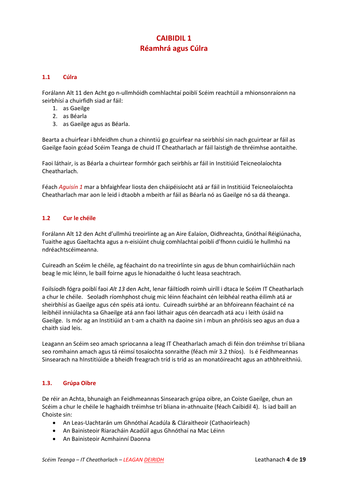# **CAIBIDIL 1 Réamhrá agus Cúlra**

#### **1.1 Cúlra**

Forálann Alt 11 den Acht go n-ullmhóidh comhlachtaí poiblí Scéim reachtúil a mhionsonraíonn na seirbhísí a chuirfidh siad ar fáil:

- 1. as Gaeilge
- 2. as Béarla
- 3. as Gaeilge agus as Béarla.

Bearta a chuirfear i bhfeidhm chun a chinntiú go gcuirfear na seirbhísí sin nach gcuirtear ar fáil as Gaeilge faoin gcéad Scéim Teanga de chuid IT Cheatharlach ar fáil laistigh de thréimhse aontaithe.

Faoi láthair, is as Béarla a chuirtear formhór gach seirbhís ar fáil in Institiúid Teicneolaíochta Cheatharlach.

Féach *Aguisín 1* mar a bhfaighfear liosta den cháipéisíocht atá ar fáil in Institiúid Teicneolaíochta Cheatharlach mar aon le leid i dtaobh a mbeith ar fáil as Béarla nó as Gaeilge nó sa dá theanga.

#### **1.2 Cur le chéile**

Forálann Alt 12 den Acht d'ullmhú treoirlínte ag an Aire Ealaíon, Oidhreachta, Gnóthaí Réigiúnacha, Tuaithe agus Gaeltachta agus a n-eisiúint chuig comhlachtaí poiblí d'fhonn cuidiú le hullmhú na ndréachtscéimeanna.

Cuireadh an Scéim le chéile, ag féachaint do na treoirlínte sin agus de bhun comhairliúcháin nach beag le mic léinn, le baill foirne agus le hionadaithe ó lucht leasa seachtrach.

Foilsíodh fógra poiblí faoi *Alt 13* den Acht, lenar fáiltíodh roimh uiríll i dtaca le Scéim IT Cheatharlach a chur le chéile. Seoladh ríomhphost chuig mic léinn féachaint cén leibhéal reatha éilimh atá ar sheirbhísí as Gaeilge agus cén spéis atá iontu. Cuireadh suirbhé ar an bhfoireann féachaint cé na leibhéil inniúlachta sa Ghaeilge atá ann faoi láthair agus cén dearcadh atá acu i leith úsáid na Gaeilge. Is mór ag an Institiúid an t-am a chaith na daoine sin i mbun an phróisis seo agus an dua a chaith siad leis.

Leagann an Scéim seo amach spriocanna a leag IT Cheatharlach amach di féin don tréimhse trí bliana seo romhainn amach agus tá réimsí tosaíochta sonraithe (féach mír 3.2 thíos). Is é Feidhmeannas Sinsearach na hInstitiúide a bheidh freagrach tríd is tríd as an monatóireacht agus an athbhreithniú.

#### **1.3. Grúpa Oibre**

De réir an Achta, bhunaigh an Feidhmeannas Sinsearach grúpa oibre, an Coiste Gaeilge, chun an Scéim a chur le chéile le haghaidh tréimhse trí bliana in-athnuaite (féach Caibidil 4). Is iad baill an Choiste sin:

- An Leas-Uachtarán um Ghnóthaí Acadúla & Cláraitheoir (Cathaoirleach)
- An Bainisteoir Riaracháin Acadúil agus Ghnóthaí na Mac Léinn
- An Bainisteoir Acmhainní Daonna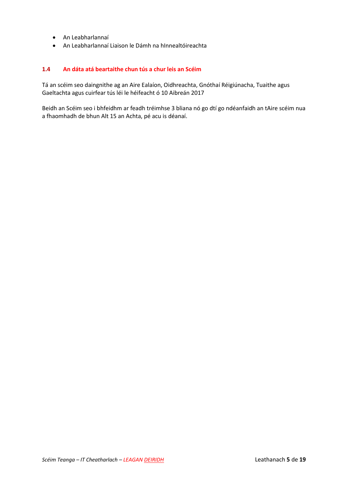- An Leabharlannaí
- An Leabharlannaí Liaison le Dámh na hInnealtóireachta

#### **1.4 An dáta atá beartaithe chun tús a chur leis an Scéim**

Tá an scéim seo daingnithe ag an Aire Ealaíon, Oidhreachta, Gnóthaí Réigiúnacha, Tuaithe agus Gaeltachta agus cuirfear tús léi le héifeacht ó 10 Aibreán 2017

Beidh an Scéim seo i bhfeidhm ar feadh tréimhse 3 bliana nó go dtí go ndéanfaidh an tAire scéim nua a fhaomhadh de bhun Alt 15 an Achta, pé acu is déanaí.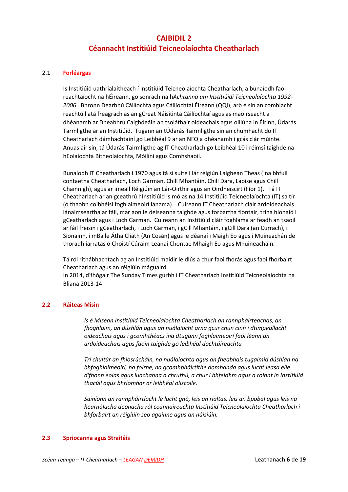### **CAIBIDIL 2 Céannacht Institiúid Teicneolaíochta Cheatharlach**

#### 2.1 **Forléargas**

Is Institiúid uathrialaitheach í Institiúid Teicneolaíochta Cheatharlach, a bunaíodh faoi reachtaíocht na hÉireann, go sonrach na h*Achtanna um Institiúidí Teicneolaíochta 1992- 2006*. Bhronn Dearbhú Cáilíochta agus Cáilíochtaí Éireann (QQI), arb é sin an comhlacht reachtúil atá freagrach as an gCreat Náisiúnta Cáilíochtaí agus as maoirseacht a dhéanamh ar Dheabhrú Caighdeáin an tsoláthair oideachais agus oiliúna in Éirinn, Údarás Tarmligthe ar an Institiúid.Tugann an tÚdarás Tairmligthe sin an chumhacht do IT Cheatharlach dámhachtainí go Leibhéal 9 ar an NFQ a dhéanamh i gcás clár múinte. Anuas air sin, tá Údarás Tairmligthe ag IT Cheatharlach go Leibhéal 10 i réimsí taighde na hEolaíochta Bitheolaíochta, Móilíní agus Comhshaoil.

Bunaíodh IT Cheatharlach i 1970 agus tá sí suite i lár réigiún Laighean Theas (ina bhfuil contaetha Cheatharlach, Loch Garman, Chill Mhantáin, Chill Dara, Laoise agus Chill Chainnigh), agus ar imeall Réigiúin an Lár-Oirthir agus an Oirdheiscirt (Fíor 1). Tá IT Cheatharlach ar an gceathrú hInstitiúid is mó as na 14 Institiúid Teicneolaíochta (IT) sa tír (ó thaobh coibhéisí foghlaimeoirí lánama). Cuireann IT Cheatharlach cláir ardoideachais lánaimseartha ar fáil, mar aon le deiseanna taighde agus forbartha fiontair, trína hionaid i gCeatharlach agus i Loch Garman. Cuireann an Institiúid cláir foghlama ar feadh an tsaoil ar fáil freisin i gCeatharlach, i Loch Garman, i gCill Mhantáin, i gCill Dara (an Currach), i Sionainn, i mBaile Átha Cliath (An Cosán) agus le déanaí i Maigh Eo agus i Muineachán de thoradh iarratas ó Choistí Cúraim Leanaí Chontae Mhaigh Eo agus Mhuineacháin.

Tá ról ríthábhachtach ag an Institiúid maidir le dlús a chur faoi fhorás agus faoi fhorbairt Cheatharlach agus an réigiúin máguaird.

In 2014, d'fhógair The Sunday Times gurbh í IT Cheatharlach Institiúid Teicneolaíochta na Bliana 2013-14.

#### **2.2 Ráiteas Misin**

*Is é Misean Institiúid Teicneolaíochta Cheatharlach an rannpháirteachas, an fhoghlaim, an dúshlán agus an nuálaíocht arna gcur chun cinn i dtimpeallacht oideachais agus i gcomhthéacs ina dtugann foghlaimeoirí faoi léann an ardoideachais agus faoin taighde go leibhéal dochtúireachta*

*Trí chultúr an fhiosrúcháin, na nuálaíochta agus an fheabhais tugaimid dúshlán na bhfoghlaimeoirí, na foirne, na gcomhpháirtithe domhanda agus lucht leasa eile d'fhonn eolas agus luachanna a chruthú, a chur i bhfeidhm agus a roinnt in Institiúid thacúil agus bhríomhar ar leibhéal ollscoile.*

*Sainíonn an rannpháirtíocht le lucht gnó, leis an rialtas, leis an bpobal agus leis na hearnálacha deonacha ról ceannaireachta Institiúid Teicneolaíochta Cheatharlach i bhforbairt an réigiúin seo againne agus an náisiúin.*

#### **2.3 Spriocanna agus Straitéis**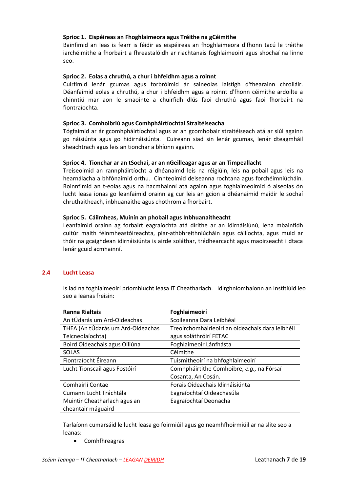#### **Sprioc 1. Eispéireas an Fhoghlaimeora agus Tréithe na gCéimithe**

Bainfimid an leas is fearr is féidir as eispéireas an fhoghlaimeora d'fhonn tacú le tréithe iarchéimithe a fhorbairt a fhreastalóidh ar riachtanais foghlaimeoirí agus shochaí na linne seo.

#### **Sprioc 2. Eolas a chruthú, a chur i bhfeidhm agus a roinnt**

Cuirfimid lenár gcumas agus forbróimid ár saineolas laistigh d'fhearainn chroíláir. Déanfaimid eolas a chruthú, a chur i bhfeidhm agus a roinnt d'fhonn céimithe ardoilte a chinntiú mar aon le smaointe a chuirfidh dlús faoi chruthú agus faoi fhorbairt na fiontraíochta.

#### **Sprioc 3. Comhoibriú agus Comhpháirtíochtaí Straitéiseacha**

Tógfaimid ar ár gcomhpháirtíochtaí agus ar an gcomhobair straitéiseach atá ar siúl againn go náisiúnta agus go hidirnáisiúnta. Cuireann siad sin lenár gcumas, lenár dteagmháil sheachtrach agus leis an tionchar a bhíonn againn.

#### **Sprioc 4. Tionchar ar an tSochaí, ar an nGeilleagar agus ar an Timpeallacht**

Treiseoimid an rannpháirtíocht a dhéanaimd leis na réigiúin, leis na pobail agus leis na hearnálacha a bhfónaimid orthu. Cinnteoimid deiseanna rochtana agus forchéimniúcháin. Roinnfimid an t-eolas agus na hacmhainní atá againn agus foghlaimeoimid ó aiseolas ón lucht leasa ionas go leanfaimid orainn ag cur leis an gcion a dhéanaimid maidir le sochaí chruthaitheach, inbhuanaithe agus chothrom a fhorbairt.

#### **Sprioc 5. Cáilmheas, Muinín an phobail agus Inbhuanaitheacht**

Leanfaimid orainn ag forbairt eagraíochta atá dírithe ar an idirnáisiúnú, lena mbainfidh cultúr maith féinmheastóireachta, piar-athbhreithniúcháin agus cáilíochta, agus muid ar thóir na gcaighdean idirnáisiúnta is airde soláthar, trédhearcacht agus maoirseacht i dtaca lenár gcuid acmhainní.

#### **2.4 Lucht Leasa**

Is iad na foghlaimeoirí príomhlucht leasa IT Cheatharlach. Idirghníomhaíonn an Institiúid leo seo a leanas freisin:

| <b>Ranna Rialtais</b>             | Foghlaimeoirí                                    |
|-----------------------------------|--------------------------------------------------|
| An tÚdarás um Ard-Oideachas       | Scoileanna Dara Leibhéal                         |
| THEA (An tÚdarás um Ard-Oideachas | Treoirchomhairleoirí an oideachais dara leibhéil |
| Teicneolaíochta)                  | agus soláthróirí FETAC                           |
| Boird Oideachais agus Oiliúna     | Foghlaimeoir Lánfhásta                           |
| <b>SOLAS</b>                      | Céimithe                                         |
| Fiontraíocht Éireann              | Tuismitheoirí na bhfoghlaimeoirí                 |
| Lucht Tionscail agus Fostóirí     | Comhpháirtithe Comhoibre, e.g., na Fórsaí        |
|                                   | Cosanta, An Cosán.                               |
| Comhairlí Contae                  | Forais Oideachais Idirnáisiúnta                  |
| Cumann Lucht Tráchtála            | Eagraíochtaí Oideachasúla                        |
| Muintir Cheatharlach agus an      | Eagraíochtaí Deonacha                            |
| cheantair máguaird                |                                                  |

Tarlaíonn cumarsáid le lucht leasa go foirmiúil agus go neamhfhoirmiúil ar na slite seo a leanas:

Comhfhreagras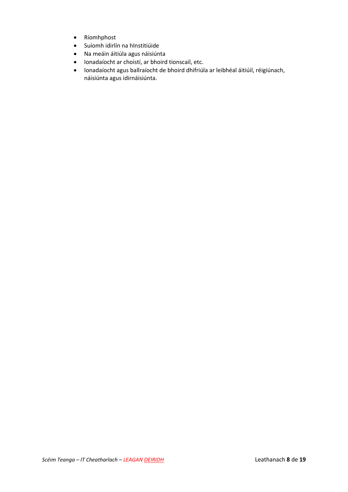- Ríomhphost
- Suíomh idirlín na hInstitiúide
- Na meáin áitiúla agus náisiúnta
- Ionadaíocht ar choistí, ar bhoird tionscail, etc.
- Ionadaíocht agus ballraíocht de bhoird dhifriúla ar leibhéal áitiúil, réigiúnach, náisiúnta agus idirnáisiúnta.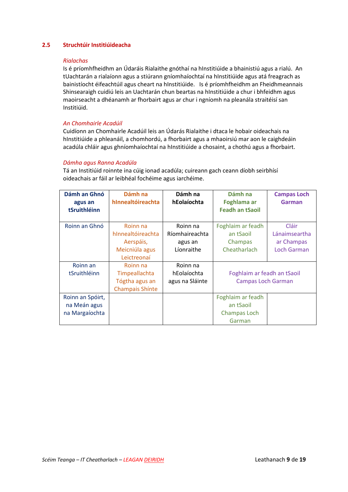#### **2.5 Struchtúir Institiúideacha**

#### *Rialachas*

Is é príomhfheidhm an Údaráis Rialaithe gnóthaí na hInstitiúide a bhainistiú agus a rialú. An tUachtarán a rialaíonn agus a stiúrann gníomhaíochtaí na hInstitiúide agus atá freagrach as bainistíocht éifeachtúil agus cheart na hInstitiúide. Is é príomhfheidhm an Fheidhmeannais Shinsearaigh cuidiú leis an Uachtarán chun beartas na hInstitiúide a chur i bhfeidhm agus maoirseacht a dhéanamh ar fhorbairt agus ar chur i ngníomh na pleanála straitéisí san Institiúid.

#### *An Chomhairle Acadúil*

Cuidíonn an Chomhairle Acadúil leis an Údarás Rialaithe i dtaca le hobair oideachais na hInstitiúide a phleanáil, a chomhordú, a fhorbairt agus a mhaoirsiú mar aon le caighdeáin acadúla chláir agus ghníomhaíochtaí na hInstitiúide a chosaint, a chothú agus a fhorbairt.

#### *Dámha agus Ranna Acadúla*

Tá an Institiúid roinnte ina cúig ionad acadúla; cuireann gach ceann díobh seirbhísí oideachais ar fáil ar leibhéal fochéime agus iarchéime.

| Dámh an Ghnó     | Dámh na                | Dámh na         | Dámh na                     | <b>Campas Loch</b> |
|------------------|------------------------|-----------------|-----------------------------|--------------------|
| agus an          | hInnealtóireachta      | hEolaíochta     | Foghlama ar                 | Garman             |
| tSruithléinn     |                        |                 | <b>Feadh an tSaoil</b>      |                    |
|                  |                        |                 |                             |                    |
| Roinn an Ghnó    | Roinn na               | Roinn na        | Foghlaim ar feadh           | Cláir              |
|                  | hInnealtóireachta      | Ríomhaireachta  | an tSaoil                   | Lánaimseartha      |
|                  | Aerspáis,              | agus an         | Champas                     | ar Champas         |
|                  | Meicniúla agus         | Líonraithe      | Cheatharlach                | <b>Loch Garman</b> |
|                  | Leictreonaí            |                 |                             |                    |
| Roinn an         | Roinn na               | Roinn na        |                             |                    |
| tSruithléinn     | Timpeallachta          | hEolaíochta     | Foghlaim ar feadh an tSaoil |                    |
|                  | Tógtha agus an         | agus na Sláinte | <b>Campas Loch Garman</b>   |                    |
|                  | <b>Champais Shinte</b> |                 |                             |                    |
| Roinn an Spóirt, |                        |                 | Foghlaim ar feadh           |                    |
| na Meán agus     |                        |                 | an tSaoil                   |                    |
| na Margaíochta   |                        |                 | Champas Loch                |                    |
|                  |                        |                 | Garman                      |                    |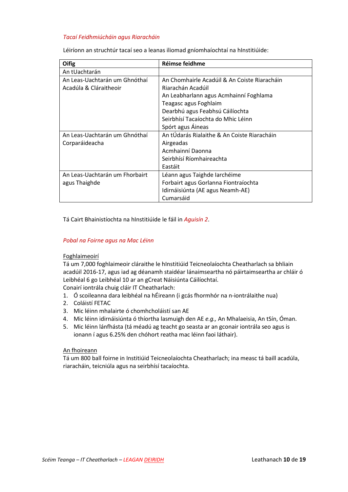#### *Tacaí Feidhmiúcháin agus Riaracháin*

| Oifig                          | Réimse feidhme                               |
|--------------------------------|----------------------------------------------|
| An tUachtarán                  |                                              |
| An Leas-Uachtarán um Ghnóthaí  | An Chomhairle Acadúil & An Coiste Riaracháin |
| Acadúla & Cláraitheoir         | Riarachán Acadúil                            |
|                                | An Leabharlann agus Acmhainní Foghlama       |
|                                | Teagasc agus Foghlaim                        |
|                                | Dearbhú agus Feabhsú Cáilíochta              |
|                                | Seirbhísí Tacaíochta do Mhic Léinn           |
|                                | Spórt agus Áineas                            |
| An Leas-Uachtarán um Ghnóthaí  | An tÚdarás Rialaithe & An Coiste Riaracháin  |
| Corparáideacha                 | Airgeadas                                    |
|                                | Acmhainní Daonna                             |
|                                | Seirbhísí Ríomhaireachta                     |
|                                | Eastáit                                      |
| An Leas-Uachtarán um Fhorbairt | Léann agus Taighde Iarchéime                 |
| agus Thaighde                  | Forbairt agus Gorlanna Fiontraíochta         |
|                                | Idirnáisiúnta (AE agus Neamh-AE)             |

Léiríonn an struchtúr tacaí seo a leanas iliomad gníomhaíochtaí na hInstitiúide:

#### Tá Cairt Bhainistíochta na hInstitiúide le fáil in *Aguisín 2*.

#### *Pobal na Foirne agus na Mac Léinn*

#### Foghlaimeoirí

Tá um 7,000 foghlaimeoir cláraithe le hInstitiúid Teicneolaíochta Cheatharlach sa bhliain acadúil 2016-17, agus iad ag déanamh staidéar lánaimseartha nó páirtaimseartha ar chláir ó Leibhéal 6 go Leibhéal 10 ar an gCreat Náisiúnta Cáilíochtaí.

Cumarsáid

Conairí iontrála chuig cláir IT Cheatharlach:

- 1. Ó scoileanna dara leibhéal na hÉireann (i gcás fhormhór na n-iontrálaithe nua)
- 2. Coláistí FETAC
- 3. Mic léinn mhalairte ó chomhcholáistí san AE
- 4. Mic léinn idirnáisiúnta ó thíortha lasmuigh den AE *e.g.,* An Mhalaeisia, An tSín, Óman.
- 5. Mic léinn lánfhásta (tá méadú ag teacht go seasta ar an gconair iontrála seo agus is ionann í agus 6.25% den chóhort reatha mac léinn faoi láthair).

#### An fhoireann

Tá um 800 ball foirne in Institiúid Teicneolaíochta Cheatharlach; ina measc tá baill acadúla, riaracháin, teicniúla agus na seirbhísí tacaíochta.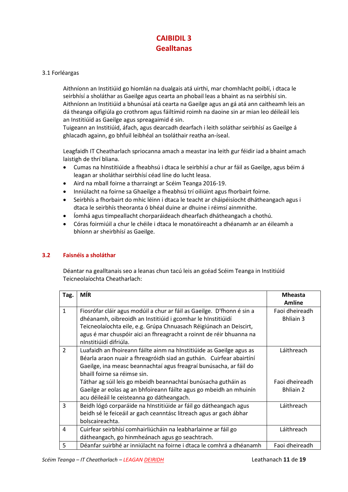### **CAIBIDIL 3 Gealltanas**

#### 3.1 Forléargas

Aithníonn an Institiúid go hiomlán na dualgais atá uirthi, mar chomhlacht poiblí, i dtaca le seirbhísí a sholáthar as Gaeilge agus cearta an phobail leas a bhaint as na seirbhísí sin. Aithníonn an Institiúid a bhunúsaí atá cearta na Gaeilge agus an gá atá ann caitheamh leis an dá theanga oifigiúla go crothrom agus fáiltímid roimh na daoine sin ar mian leo déileáil leis an Institiúid as Gaeilge agus spreagaimid é sin.

Tuigeann an Institiúid, áfach, agus dearcadh dearfach i leith soláthar seirbhísí as Gaeilge á ghlacadh againn, go bhfuil leibhéal an tsoláthair reatha an-íseal.

Leagfaidh IT Cheatharlach spriocanna amach a meastar ina leith gur féidir iad a bhaint amach laistigh de thrí bliana.

- Cumas na hInstitiúide a fheabhsú i dtaca le seirbhísí a chur ar fáil as Gaeilge, agus béim á leagan ar sholáthar seirbhísí céad líne do lucht leasa.
- Aird na mball foirne a tharraingt ar Scéim Teanga 2016-19.
- Inniúlacht na foirne sa Ghaeilge a fheabhsú trí oiliúint agus fhorbairt foirne.
- Seirbhís a fhorbairt do mhic léinn i dtaca le teacht ar cháipéisíocht dhátheangach agus i dtaca le seirbhís theoranta ó bhéal duine ar dhuine i réimsí ainmnithe.
- Íomhá agus timpeallacht chorparáideach dhearfach dhátheangach a chothú.
- Córas foirmiúil a chur le chéile i dtaca le monatóireacht a dhéanamh ar an éileamh a bhíonn ar sheirbhísí as Gaeilge.

#### **3.2 Faisnéis a sholáthar**

Déantar na gealltanais seo a leanas chun tacú leis an gcéad Scéim Teanga in Institiúid Teicneolaíochta Cheatharlach:

| Tag.           | <b>MÍR</b>                                                                                    | <b>Mheasta</b><br>Amlíne |
|----------------|-----------------------------------------------------------------------------------------------|--------------------------|
| $\mathbf{1}$   | Fiosrófar cláir agus modúil a chur ar fáil as Gaeilge. D'fhonn é sin a                        | Faoi dheireadh           |
|                | dhéanamh, oibreoidh an Institiúid i gcomhar le hInstitiúidí                                   | <b>Bhliain 3</b>         |
|                | Teicneolaíochta eile, e.g. Grúpa Chnuasach Réigiúnach an Deiscirt,                            |                          |
|                | agus é mar chuspóir aici an fhreagracht a roinnt de réir bhuanna na<br>nInstitiúidí difriúla. |                          |
| $\overline{2}$ | Luafaidh an fhoireann fáilte ainm na hInstitiúide as Gaeilge agus as                          | Láithreach               |
|                | Béarla araon nuair a fhreagróidh siad an guthán. Cuirfear abairtíní                           |                          |
|                | Gaeilge, ina measc beannachtaí agus freagraí bunúsacha, ar fáil do                            |                          |
|                | bhaill foirne sa réimse sin.                                                                  |                          |
|                | Táthar ag súil leis go mbeidh beannachtaí bunúsacha gutháin as                                | Faoi dheireadh           |
|                | Gaeilge ar eolas ag an bhfoireann fáilte agus go mbeidh an mhuinín                            | <b>Bhliain 2</b>         |
|                | acu déileáil le ceisteanna go dátheangach.                                                    |                          |
| 3              | Beidh lógó corparáide na hInstitiúide ar fáil go dátheangach agus                             | Láithreach               |
|                | beidh sé le feiceáil ar gach ceanntásc litreach agus ar gach ábhar                            |                          |
|                | bolscaireachta.                                                                               |                          |
| 4              | Cuirfear seirbhísí comhairliúcháin na leabharlainne ar fáil go                                | Láithreach               |
|                | dátheangach, go hinmheánach agus go seachtrach.                                               |                          |
| 5              | Déanfar suirbhé ar inniúlacht na foirne i dtaca le comhrá a dhéanamh                          | Faoi dheireadh           |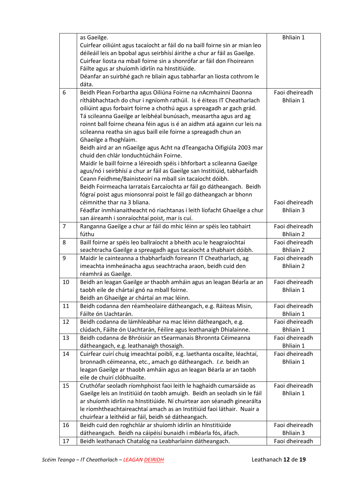|                | as Gaeilge.                                                                                                        | <b>Bhliain 1</b> |
|----------------|--------------------------------------------------------------------------------------------------------------------|------------------|
|                | Cuirfear oiliúint agus tacaíocht ar fáil do na baill foirne sin ar mian leo                                        |                  |
|                | déileáil leis an bpobal agus seirbhísí áirithe a chur ar fáil as Gaeilge.                                          |                  |
|                | Cuirfear liosta na mball foirne sin a shonrófar ar fáil don Fhoireann                                              |                  |
|                | Fáilte agus ar shuíomh idirlín na hInstitiúide.                                                                    |                  |
|                | Déanfar an suirbhé gach re bliain agus tabharfar an liosta cothrom le                                              |                  |
|                | dáta.                                                                                                              |                  |
| 6              | Beidh Plean Forbartha agus Oiliúna Foirne na nAcmhainní Daonna                                                     | Faoi dheireadh   |
|                | ríthábhachtach do chur i ngníomh rathúil. Is é éiteas IT Cheatharlach                                              | <b>Bhliain 1</b> |
|                | oiliúint agus forbairt foirne a chothú agus a spreagadh ar gach grád.                                              |                  |
|                | Tá scileanna Gaeilge ar leibhéal bunúsach, measartha agus ard ag                                                   |                  |
|                | roinnt ball foirne cheana féin agus is é an aidhm atá againn cur leis na                                           |                  |
|                | scileanna reatha sin agus baill eile foirne a spreagadh chun an                                                    |                  |
|                | Ghaeilge a fhoghlaim.                                                                                              |                  |
|                | Beidh aird ar an nGaeilge agus Acht na dTeangacha Oifigiúla 2003 mar                                               |                  |
|                | chuid den chlár Ionduchtúcháin Foirne.                                                                             |                  |
|                | Maidir le baill foirne a léireoidh spéis i bhforbart a scileanna Gaeilge                                           |                  |
|                | agus/nó i seirbhísí a chur ar fáil as Gaeilge san Institiúid, tabharfaidh                                          |                  |
|                | Ceann Feidhme/Bainisteoirí na mball sin tacaíocht dóibh.                                                           |                  |
|                | Beidh Foirmeacha Iarratais Earcaíochta ar fáil go dátheangach. Beidh                                               |                  |
|                | fógraí poist agus mionsonraí poist le fáil go dátheangach ar bhonn                                                 |                  |
|                | céimnithe thar na 3 bliana.                                                                                        | Faoi dheireadh   |
|                | Féadfar inmhianaitheacht nó riachtanas i leith líofacht Ghaeilge a chur                                            | <b>Bhliain 3</b> |
|                | san áireamh i sonraíochtaí poist, mar is cuí.                                                                      |                  |
| $\overline{7}$ | Ranganna Gaeilge a chur ar fáil do mhic léinn ar spéis leo tabhairt                                                | Faoi dheireadh   |
|                | fúthu                                                                                                              | <b>Bhliain 2</b> |
| 8              | Baill foirne ar spéis leo ballraíocht a bheith acu le heagraíochtaí                                                | Faoi dheireadh   |
|                | seachtracha Gaeilge a spreagadh agus tacaíocht a thabhairt dóibh.                                                  | <b>Bhliain 2</b> |
| 9              | Maidir le cainteanna a thabharfaidh foireann IT Cheatharlach, ag                                                   | Faoi dheireadh   |
|                | imeachta inmheánacha agus seachtracha araon, beidh cuid den                                                        | <b>Bhliain 2</b> |
|                | réamhrá as Gaeilge.                                                                                                |                  |
| 10             | Beidh an leagan Gaeilge ar thaobh amháin agus an leagan Béarla ar an                                               | Faoi dheireadh   |
|                | taobh eile de chártaí gnó na mball foirne.                                                                         | <b>Bhliain 1</b> |
|                | Beidh an Ghaeilge ar chártaí an mac léinn.                                                                         | Faoi dheireadh   |
| 11             | Beidh codanna den réamheolaire dátheangach, e.g. Ráiteas Misin,<br>Fáilte ón Uachtarán.                            | <b>Bhliain 1</b> |
| 12             | Beidh codanna de lámhleabhar na mac léinn dátheangach, e.g.                                                        | Faoi dheireadh   |
|                | clúdach, Fáilte ón Uachtarán, Féilire agus leathanaigh Dhialainne.                                                 | <b>Bhliain 1</b> |
| 13             | Beidh codanna de Bhróisiúr an tSearmanais Bhronnta Céimeanna                                                       | Faoi dheireadh   |
|                | dátheangach, e.g. leathanaigh thosaigh.                                                                            | <b>Bhliain 1</b> |
| 14             | Cuirfear cuirí chuig imeachtaí poiblí, e.g. laethanta oscailte, léachtaí,                                          | Faoi dheireadh   |
|                | bronnadh céimeanna, etc., amach go dátheangach. I.e. beidh an                                                      | <b>Bhliain 1</b> |
|                | leagan Gaeilge ar thaobh amháin agus an leagan Béarla ar an taobh                                                  |                  |
|                | eile de chuirí clóbhuailte.                                                                                        |                  |
| 15             | Cruthófar seoladh ríomhphoist faoi leith le haghaidh cumarsáide as                                                 | Faoi dheireadh   |
|                | Gaeilge leis an Institiúid ón taobh amuigh. Beidh an seoladh sin le fáil                                           | <b>Bhliain 1</b> |
|                |                                                                                                                    |                  |
|                |                                                                                                                    |                  |
|                | ar shuíomh idirlín na hInstitiúide. Ní chuirtear aon séanadh ginearálta                                            |                  |
|                | le ríomhtheachtaireachtaí amach as an Institiúid faoi láthair. Nuair a                                             |                  |
| 16             | chuirfear a leithéid ar fáil, beidh sé dátheangach.<br>Beidh cuid den roghchlár ar shuíomh idirlín an hInstitiúide | Faoi dheireadh   |
|                | dátheangach. Beidh na cáipéisí bunaidh i mBéarla fós, áfach.                                                       | <b>Bhliain 3</b> |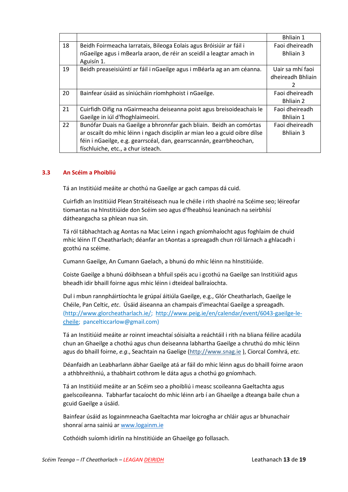|    |                                                                            | <b>Bhliain 1</b>  |
|----|----------------------------------------------------------------------------|-------------------|
| 18 | Beidh Foirmeacha Iarratais, Bileoga Eolais agus Bróisiúir ar fáil i        | Faoi dheireadh    |
|    | nGaeilge agus i mBearla araon, de réir an sceidil a leagtar amach in       | Bhliain 3         |
|    | Aguisín 1.                                                                 |                   |
| 19 | Beidh preaseisiúintí ar fáil i nGaeilge agus i mBéarla ag an am céanna.    | Uair sa mhí faoi  |
|    |                                                                            | dheireadh Bhliain |
|    |                                                                            |                   |
| 20 | Bainfear úsáid as síniúcháin ríomhphoist i nGaeilge.                       | Faoi dheireadh    |
|    |                                                                            | <b>Bhliain 2</b>  |
| 21 | Cuirfidh Oifig na nGairmeacha deiseanna poist agus breisoideachais le      | Faoi dheireadh    |
|    | Gaeilge in iúl d'fhoghlaimeoirí.                                           | <b>Bhliain 1</b>  |
| 22 | Bunófar Duais na Gaeilge a bhronnfar gach bliain. Beidh an comórtas        | Faoi dheireadh    |
|    | ar oscailt do mhic léinn i ngach disciplín ar mian leo a gcuid oibre dílse | <b>Bhliain 3</b>  |
|    | féin i nGaeilge, e.g. gearrscéal, dan, gearrscannán, gearrbheochan,        |                   |
|    | físchluiche, etc., a chur isteach.                                         |                   |

#### **3.3 An Scéim a Phoibliú**

Tá an Institiúid meáite ar chothú na Gaeilge ar gach campas dá cuid.

Cuirfidh an Institiúid Plean Straitéiseach nua le chéile i rith shaolré na Scéime seo; léireofar tiomantas na hInstitiúide don Scéim seo agus d'fheabhsú leanúnach na seirbhísí dátheangacha sa phlean nua sin.

Tá ról tábhachtach ag Aontas na Mac Leinn i ngach gníomhaíocht agus foghlaim de chuid mhic léinn IT Cheatharlach; déanfar an tAontas a spreagadh chun ról lárnach a ghlacadh i gcothú na scéime.

Cumann Gaeilge, An Cumann Gaelach, a bhunú do mhic léinn na hInstitiúide.

Coiste Gaeilge a bhunú dóibhsean a bhfuil spéis acu i gcothú na Gaeilge san Institiúid agus bheadh idir bhaill foirne agus mhic léinn i dteideal ballraíochta.

Dul i mbun rannpháirtíochta le grúpaí áitiúla Gaeilge, e.g., Glór Cheatharlach, Gaeilge le Chéile, Pan Celtic, *etc*. Úsáid áiseanna an champais d'imeachtaí Gaeilge a spreagadh. [\(http://www.glorcheatharlach.ie/;](http://www.glorcheatharlach.ie/) [http://www.peig.ie/en/calendar/event/6043-gaeilge-le](http://www.peig.ie/en/calendar/event/6043-gaeilge-le-cheile)[cheile;](http://www.peig.ie/en/calendar/event/6043-gaeilge-le-cheile) [pancelticcarlow@gmail.com\)](mailto:pancelticcarlow@gmail.com)

Tá an Institiúid meáite ar roinnt imeachtaí sóisialta a reáchtáil i rith na bliana féilire acadúla chun an Ghaeilge a chothú agus chun deiseanna labhartha Gaeilge a chruthú do mhic léinn agus do bhaill foirne, *e.g*., Seachtain na Gaelige (http:/[/www.snag.ie](http://www.snag.ie/) ), Ciorcal Comhrá, *etc.*

Déanfaidh an Leabharlann ábhar Gaeilge atá ar fáil do mhic léinn agus do bhaill foirne araon a athbhreithniú, a thabhairt cothrom le dáta agus a chothú go gníomhach.

Tá an Institiúid meáite ar an Scéim seo a phoibliú i measc scoileanna Gaeltachta agus gaelscoileanna. Tabharfar tacaíocht do mhic léinn arb í an Ghaeilge a dteanga baile chun a gcuid Gaeilge a úsáid.

Bainfear úsáid as logainmneacha Gaeltachta mar loicrogha ar chláir agus ar bhunachair shonraí arna sainiú a[r www.logainm.ie](http://www.logainm.ie/)

Cothóidh suíomh idirlín na hInstitiúide an Ghaeilge go follasach.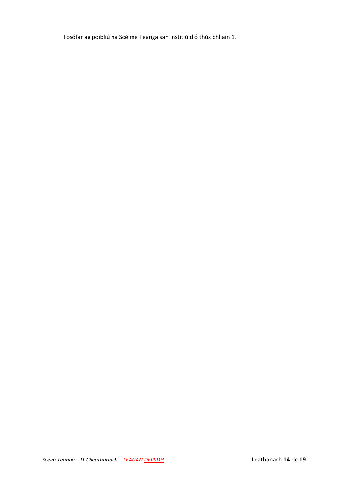Tosófar ag poibliú na Scéime Teanga san Institiúid ó thús bhliain 1.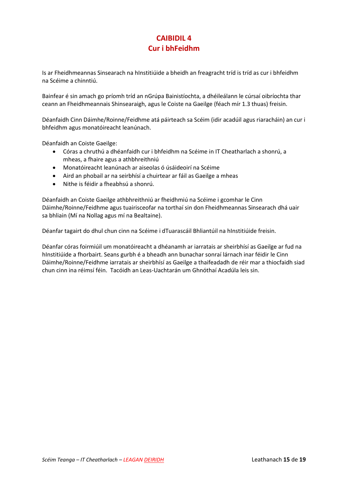# **CAIBIDIL 4 Cur i bhFeidhm**

Is ar Fheidhmeannas Sinsearach na hInstitiúide a bheidh an freagracht tríd is tríd as cur i bhfeidhm na Scéime a chinntiú.

Bainfear é sin amach go príomh tríd an nGrúpa Bainistíochta, a dhéileálann le cúrsaí oibríochta thar ceann an Fheidhmeannais Shinsearaigh, agus le Coiste na Gaeilge (féach mír 1.3 thuas) freisin.

Déanfaidh Cinn Dáimhe/Roinne/Feidhme atá páirteach sa Scéim (idir acadúil agus riaracháin) an cur i bhfeidhm agus monatóireacht leanúnach.

Déanfaidh an Coiste Gaeilge:

- Córas a chruthú a dhéanfaidh cur i bhfeidhm na Scéime in IT Cheatharlach a shonrú, a mheas, a fhaire agus a athbhreithniú
- Monatóireacht leanúnach ar aiseolas ó úsáideoirí na Scéime
- Aird an phobail ar na seirbhísí a chuirtear ar fáil as Gaeilge a mheas
- Nithe is féidir a fheabhsú a shonrú.

Déanfaidh an Coiste Gaeilge athbhreithniú ar fheidhmiú na Scéime i gcomhar le Cinn Dáimhe/Roinne/Feidhme agus tuairisceofar na torthaí sin don Fheidhmeannas Sinsearach dhá uair sa bhliain (Mí na Nollag agus mí na Bealtaine).

Déanfar tagairt do dhul chun cinn na Scéime i dTuarascáil Bhliantúil na hInstitiúide freisin.

Déanfar córas foirmiúil um monatóireacht a dhéanamh ar iarratais ar sheirbhísí as Gaeilge ar fud na hInstitiúide a fhorbairt. Seans gurbh é a bheadh ann bunachar sonraí lárnach inar féidir le Cinn Dáimhe/Roinne/Feidhme iarratais ar sheirbhísí as Gaeilge a thaifeadadh de réir mar a thiocfaidh siad chun cinn ina réimsí féin. Tacóidh an Leas-Uachtarán um Ghnóthaí Acadúla leis sin.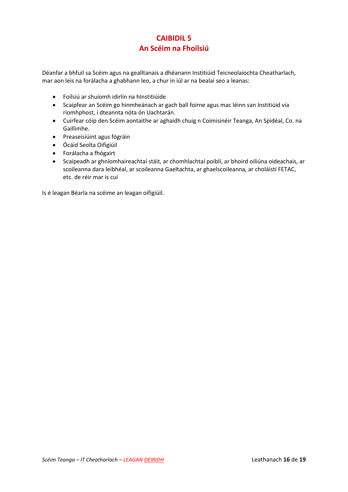# **CAIBIDIL 5 An Scéim na Fhoilsiú**

Déanfar a bhfuil sa Scéim agus na gealltanais a dhéanann Institiúid Teicneolaíochta Cheatharlach, mar aon leis na forálacha a ghabhann leo, a chur in iúl ar na bealaí seo a leanas:

- Foilsiú ar shuíomh idirlín na hInstitiúide
- Scaipfear an Scéim go hinmheánach ar gach ball foirne agus mac léinn san Institiúid via ríomhphost, i dteannta nóta ón Uachtarán.
- Cuirfear cóip den Scéim aontaithe ar aghaidh chuig n Coimisinéir Teanga, An Spidéal, Co. na Gaillimhe.
- Preaseisiúint agus fógráin
- Ócáid Seolta Oifigiúil
- Forálacha a fhógairt
- Scaipeadh ar ghníomhaireachtaí stáit, ar chomhlachtaí poiblí, ar bhoird oiliúna oideachais, ar scoileanna dara leibhéal, ar scoileanna Gaeltachta, ar ghaelscoileanna, ar choláistí FETAC, etc. de réir mar is cuí

Is é leagan Béarla na scéime an leagan oifigiúil.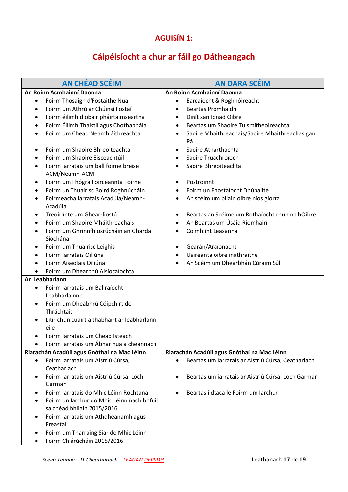# **AGUISÍN 1:**

# **Cáipéisíocht a chur ar fáil go Dátheangach**

| <b>AN CHÉAD SCÉIM</b>                                                                 | <b>AN DARA SCÉIM</b>                                              |
|---------------------------------------------------------------------------------------|-------------------------------------------------------------------|
| An Roinn Acmhainní Daonna                                                             | An Roinn Acmhainní Daonna                                         |
| Foirm Thosaigh d'Fostaithe Nua<br>٠                                                   | Earcaíocht & Roghnóireacht<br>$\bullet$                           |
| Foirm um Athrú ar Chúinsí Fostaí<br>$\bullet$                                         | <b>Beartas Promhaidh</b><br>$\bullet$                             |
| Foirm éilimh d'obair pháirtaimseartha<br>$\bullet$                                    | Dinit san Ionad Oibre<br>$\bullet$                                |
| Foirm Éilimh Thaistil agus Chothabhála<br>٠                                           | Beartas um Shaoire Tuismitheoireachta<br>$\bullet$                |
| Foirm um Chead Neamhláithreachta<br>$\bullet$                                         | Saoire Mháithreachais/Saoire Mháithreachas gan<br>$\bullet$<br>Pá |
| Foirm um Shaoire Bhreoiteachta<br>٠                                                   | Saoire Atharthachta<br>$\bullet$                                  |
| Foirm um Shaoire Eisceachtúil<br>$\bullet$                                            | Saoire Truachroíoch<br>$\bullet$                                  |
| Foirm iarratais um ball foirne breise<br>٠<br>ACM/Neamh-ACM                           | Saoire Bhreoiteachta<br>$\bullet$                                 |
| Foirm um Fhógra Foirceannta Foirne<br>٠                                               | Postroinnt<br>$\bullet$                                           |
| Foirm un Thuairisc Boird Roghnúcháin<br>٠                                             | Foirm un Fhostaíocht Dhúbailte<br>٠                               |
| Foirmeacha iarratais Acadúla/Neamh-<br>٠<br>Acadúla                                   | An scéim um bliain oibre níos giorra<br>$\bullet$                 |
| Treoirlínte um Ghearrliostú<br>$\bullet$                                              | Beartas an Scéime um Rothaíocht chun na hOibre<br>٠               |
| Foirm um Shaoire Mháithreachais<br>$\bullet$                                          | An Beartas um Úsáid Ríomhairí<br>$\bullet$                        |
| Foirm um Ghrinnfhiosrúcháin an Gharda<br>٠                                            | Coimhlint Leasanna<br>$\bullet$                                   |
| Síochána                                                                              |                                                                   |
| Foirm um Thuairisc Leighis<br>٠                                                       | Gearán/Araíonacht<br>$\bullet$                                    |
| Foirm Iarratais Oiliúna<br>٠                                                          | Uaireanta oibre inathraithe<br>$\bullet$                          |
| Foirm Aiseolais Oiliúna<br>$\bullet$                                                  | An Scéim um Dhearbhán Cúraim Súl                                  |
| Foirm um Dhearbhú Aisíocaíochta                                                       |                                                                   |
| An Leabharlann                                                                        |                                                                   |
| Foirm Iarratais um Ballraíocht<br>$\bullet$                                           |                                                                   |
| Leabharlainne                                                                         |                                                                   |
| Foirm um Dheabhrú Cóipchirt do<br>٠                                                   |                                                                   |
| Thráchtais                                                                            |                                                                   |
| Litir chun cuairt a thabhairt ar leabharlann<br>eile                                  |                                                                   |
| Foirm Iarratais um Chead Isteach                                                      |                                                                   |
| Foirm iarratais um Ábhar nua a cheannach<br>$\bullet$                                 |                                                                   |
| Riarachán Acadúil agus Gnóthaí na Mac Léinn                                           | Riarachán Acadúil agus Gnóthaí na Mac Léinn                       |
| Foirm iarratais um Aistriú Cúrsa,<br>٠                                                | Beartas um iarratais ar Aistriú Cúrsa, Ceatharlach<br>$\bullet$   |
| Ceatharlach                                                                           |                                                                   |
| Foirm iarratais um Aistriú Cúrsa, Loch<br>٠                                           | Beartas um iarratais ar Aistriú Cúrsa, Loch Garman<br>$\bullet$   |
| Garman                                                                                |                                                                   |
| Foirm iarratais do Mhic Léinn Rochtana<br>٠                                           | Beartas i dtaca le Foirm um Iarchur<br>$\bullet$                  |
| Foirm un Iarchur do Mhic Léinn nach bhfuil<br>$\bullet$<br>sa chéad bhliain 2015/2016 |                                                                   |
| Foirm iarratais um Athdhéanamh agus<br>٠<br>Freastal                                  |                                                                   |
| Foirm um Tharraing Siar do Mhic Léinn<br>٠<br>Foirm Chlárúcháin 2015/2016<br>٠        |                                                                   |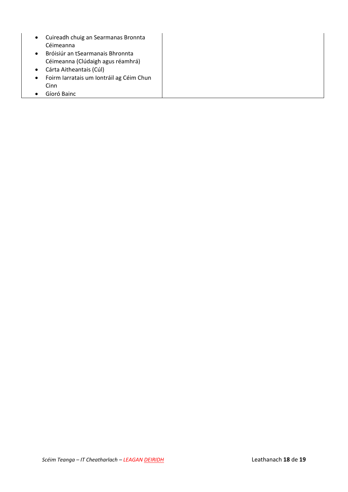- Cuireadh chuig an Searmanas Bronnta Céimeanna
- Bróisiúr an tSearmanais Bhronnta Céimeanna (Clúdaigh agus réamhrá)
- Cárta Aitheantais (Cúl)
- Foirm Iarratais um Iontráil ag Céim Chun Cinn
- Gíoró Bainc